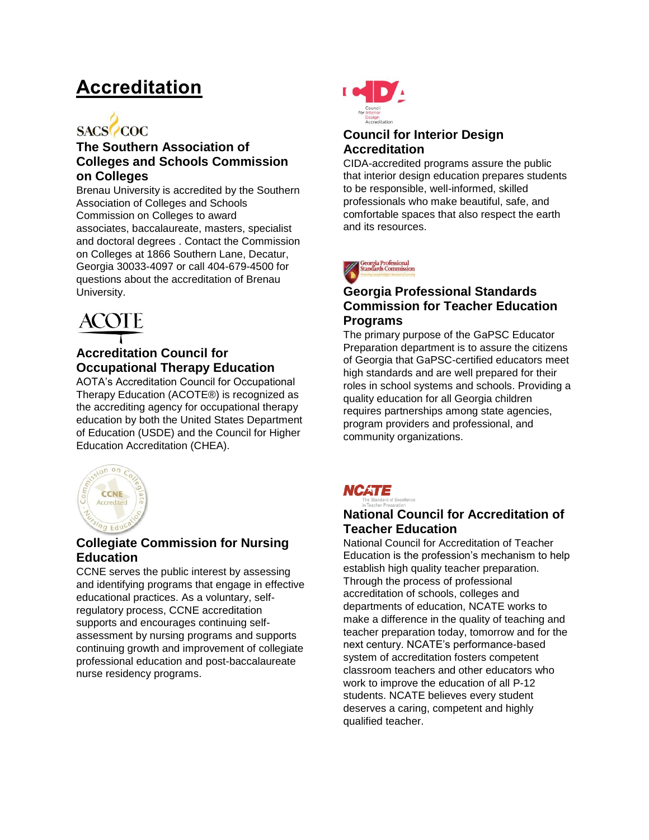# **[Accreditation](http://www.brenau.edu/academics/accreditation/)**



## **The Southern Association of Colleges and Schools Commission on Colleges**

Brenau University is accredited by the Southern Association of Colleges and Schools Commission on Colleges to award associates, baccalaureate, masters, specialist and doctoral degrees . Contact the Commission on Colleges at 1866 Southern Lane, Decatur, Georgia 30033-4097 or call 404-679-4500 for questions about the accreditation of Brenau University.



# **Accreditation Council for Occupational Therapy Education**

AOTA's Accreditation Council for Occupational Therapy Education (ACOTE®) is recognized as the accrediting agency for occupational therapy education by both the United States Department of Education (USDE) and the Council for Higher Education Accreditation (CHEA).



# **Collegiate Commission for Nursing Education**

CCNE serves the public interest by assessing and identifying programs that engage in effective educational practices. As a voluntary, selfregulatory process, CCNE accreditation supports and encourages continuing selfassessment by nursing programs and supports continuing growth and improvement of collegiate professional education and post-baccalaureate nurse residency programs.



### **Council for Interior Design Accreditation**

CIDA-accredited programs assure the public that interior design education prepares students to be responsible, well-informed, skilled professionals who make beautiful, safe, and comfortable spaces that also respect the earth and its resources.



### **Georgia Professional Standards Commission for Teacher Education Programs**

The primary purpose of the GaPSC Educator Preparation department is to assure the citizens of Georgia that GaPSC-certified educators meet high standards and are well prepared for their roles in school systems and schools. Providing a quality education for all Georgia children requires partnerships among state agencies, program providers and professional, and community organizations.



# **National Council for Accreditation of Teacher Education**

National Council for Accreditation of Teacher Education is the profession's mechanism to help establish high quality teacher preparation. Through the process of professional accreditation of schools, colleges and departments of education, NCATE works to make a difference in the quality of teaching and teacher preparation today, tomorrow and for the next century. NCATE's performance-based system of accreditation fosters competent classroom teachers and other educators who work to improve the education of all P-12 students. NCATE believes every student deserves a caring, competent and highly qualified teacher.